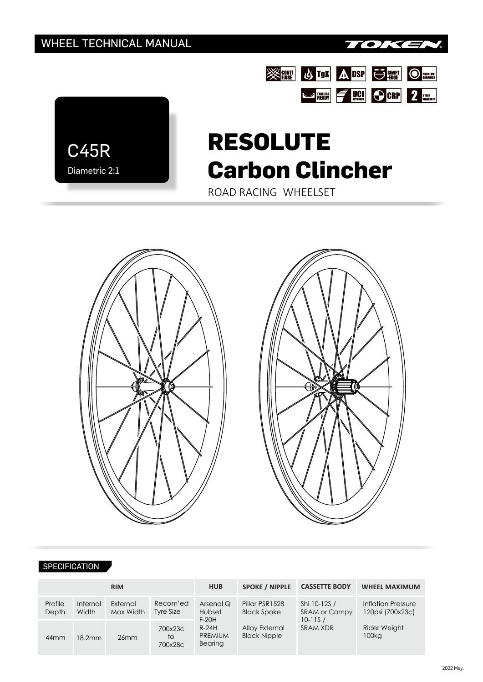

**SEE US TON ADSP US ENTI OF THE REAL PROPERTY** 

STREAM FUCH OCRP 2 VERAL TO DERE



# **RESOLUTE Carbon Clincher**

ROAD RACING WHEELSET



#### SPECIFICATION

| <b>RIM</b>       |                   |                       |                          | <b>HUB</b>                                                             | <b>SPOKE / NIPPLE</b>                                                         | <b>CASSETTE BODY</b>                                                   | <b>WHEEL MAXIMUM</b>                   |  |
|------------------|-------------------|-----------------------|--------------------------|------------------------------------------------------------------------|-------------------------------------------------------------------------------|------------------------------------------------------------------------|----------------------------------------|--|
| Profile<br>Depth | Internal<br>Width | External<br>Max Width | Recom'ed<br>Tyre Size    | Arsenal Q<br>Hubset<br>$F-20H$<br>$R-24H$<br><b>PREMIUM</b><br>Bearing | Pillar PSR1528<br><b>Black Spoke</b><br>Alloy External<br><b>Black Nipple</b> | Shi 10-12S /<br><b>SRAM or Campy</b><br>$10 - 11S/$<br><b>SRAM XDR</b> | Inflation Pressure<br>120psi (700x23c) |  |
| 44 <sub>mm</sub> | 18.2mm            | 26mm                  | 700x23c<br>to<br>700x28c |                                                                        |                                                                               |                                                                        | <b>Rider Weight</b><br>100kg           |  |